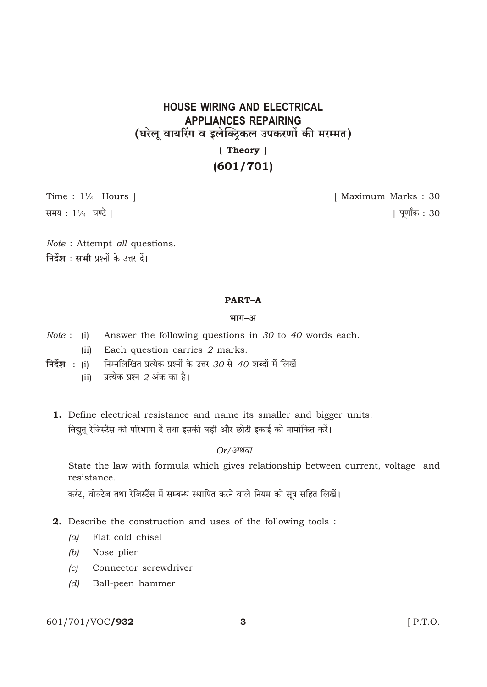# **HOUSE WIRING AND ELECTRICAL APPLIANCES REPAIRING** (घरेलू वायरिंग व इलेक्ट्रिकल उपकरणों की मरम्मत)

## (Theory)  $(601/701)$

Time:  $1\frac{1}{2}$  Hours ] समय: 11/2 घण्टे |

[ Maximum Marks: 30

[ पूर्णांक : 30

Note : Attempt all questions. निर्देश : सभी प्रश्नों के उत्तर दें।

## **PART-A**

### भाग-अ

- Answer the following questions in 30 to 40 words each.  $Note: (i)$ 
	- (ii) Each question carries 2 marks.
- निर्देश: (i) निम्नलिखित प्रत्येक प्रश्नों के उत्तर 30 से 40 शब्दों में लिखें।
	- प्रत्येक प्रश्न  $2$  अंक का है।  $(ii)$
	- 1. Define electrical resistance and name its smaller and bigger units. विद्युत् रेजिस्टैंस की परिभाषा दें तथा इसकी बड़ी और छोटी इकाई को नामांकित करें।

## $Or/$ अथवा

State the law with formula which gives relationship between current, voltage and resistance.

करंट, वोल्टेज तथा रेजिस्टैंस में सम्बन्ध स्थापित करने वाले नियम को सत्र सहित लिखें।

- 2. Describe the construction and uses of the following tools:
	- Flat cold chisel  $(a)$
	- Nose plier  $(b)$
	- Connector screwdriver  $\left( c\right)$
	- $(d)$ Ball-peen hammer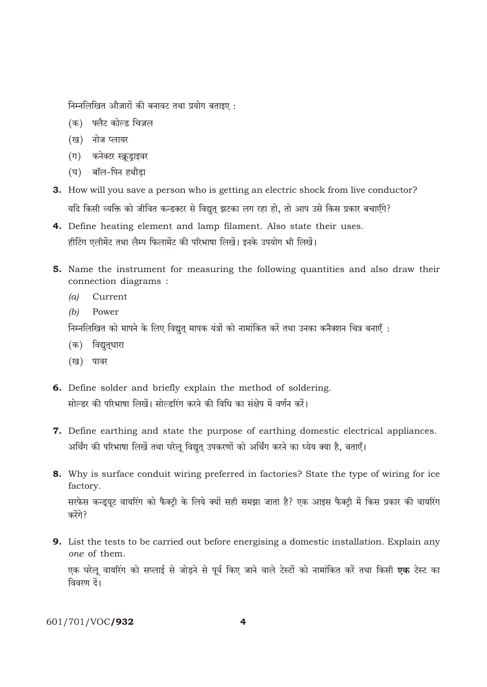निम्नलिखित औज़ारों की बनावट तथा प्रयोग बताइए:

- (क) फ्लैट कोल्ड चिज़ल
- (ख) नोज प्लायर
- (ग) कनेक्टर स्क्रूड्राइवर
- (घ) बॉल-पिन हथौडा
- **3.** How will you save a person who is getting an electric shock from live conductor? यदि किसी व्यक्ति को जीवित कन्डक्टर से विद्युत् झटका लग रहा हो, तो आप उसे किस प्रकार बचाएँगे?
- 4. Define heating element and lamp filament. Also state their uses. हीटिंग एलीमेंट तथा लैम्प फिलामेंट की परिभाषा लिखें। इनके उपयोग भी लिखें।
- 5. Name the instrument for measuring the following quantities and also draw their connection diagrams:
	- $(a)$ Current
	- $(b)$ Power

निम्नलिखित को मापने के लिए विद्युत मापक यंत्रों को नामांकित करें तथा उनका कनैक्शन चित्र बनाएँ :

- (क) विद्युतृधारा
- (ख) पावर
- 6. Define solder and briefly explain the method of soldering. सोल्डर की परिभाषा लिखें। सोल्डरिंग करने की विधि का संक्षेप में वर्णन करें।
- 7. Define earthing and state the purpose of earthing domestic electrical appliances. अर्थिंग की परिभाषा लिखें तथा घरेलू विद्युत् उपकरणों को अर्थिंग करने का ध्येय क्या है, बताएँ।
- 8. Why is surface conduit wiring preferred in factories? State the type of wiring for ice factory.

सरफेस कन्ड्यूट वायरिंग को फैक्ट्री के लिये क्यों सही समझा जाता है? एक आइस फैक्ट्री में किस प्रकार की वायरिंग करेंगे?

9. List the tests to be carried out before energising a domestic installation. Explain any one of them. एक घरेलू वायरिंग को सप्लाई से जोड़ने से पूर्व किए जाने वाले टेस्टों को नामांकित करें तथा किसी **एक** टेस्ट का विवरण दें।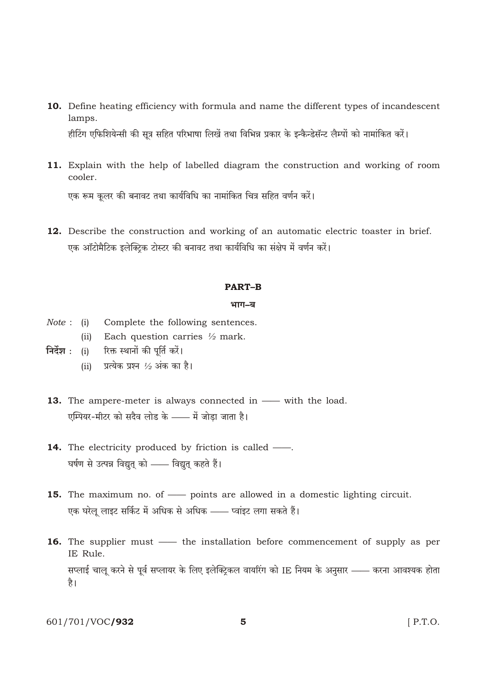- 10. Define heating efficiency with formula and name the different types of incandescent lamps. हीटिंग एफिशियेन्सी की सूत्र सहित परिभाषा लिखें तथा विभिन्न प्रकार के इन्कैन्डेसॅन्ट लैम्पों को नामांकित करें।
- 11. Explain with the help of labelled diagram the construction and working of room cooler.

एक रूम कूलर की बनावट तथा कार्यविधि का नामांकित चित्र सहित वर्णन करें।

12. Describe the construction and working of an automatic electric toaster in brief. एक ऑटोमैटिक इलेक्टिक टोस्टर की बनावट तथा कार्यविधि का संक्षेप में वर्णन करें।

#### **PART-B**

#### भाग–ब

- $Note: (i)$ Complete the following sentences.
	- (ii) Each question carries  $\frac{1}{2}$  mark.
- निर्देश : (i) रिक्त स्थानों की पूर्ति करें।
	- (ii) प्रत्येक प्रश्न  $\frac{1}{2}$  अंक का है।
- 13. The ampere-meter is always connected in with the load. एम्पियर-मीटर को सदैव लोड के —— में जोडा जाता है।
- **14.** The electricity produced by friction is called —. घर्षण से उत्पन्न विद्युत् को —— विद्युत् कहते हैं।
- **15.** The maximum no. of points are allowed in a domestic lighting circuit. एक घरेलु लाइट सर्किट में अधिक से अधिक —— प्वांइट लगा सकते हैं।
- 16. The supplier must the installation before commencement of supply as per IE Rule. सप्लाई चालू करने से पूर्व सप्लायर के लिए इलेक्ट्रिकल वायरिंग को IE नियम के अनुसार —— करना आवश्यक होता है।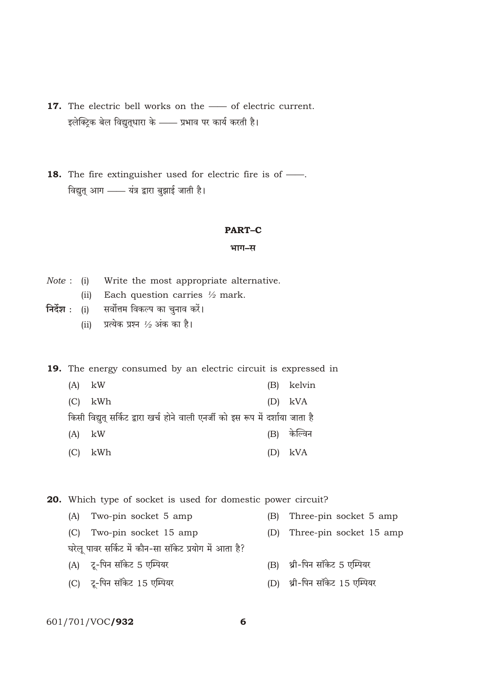- 17. The electric bell works on the of electric current. इलेक्ट्रिक बेल विद्युतुधारा के —— प्रभाव पर कार्य करती है।
- 18. The fire extinguisher used for electric fire is of -विद्युत् आग - यंत्र द्वारा बुझाई जाती है।

#### **PART-C**

#### भाग-स

- *Note*: (i) Write the most appropriate alternative.
	- (ii) Each question carries  $\frac{1}{2}$  mark.
- निर्देश : (i) सर्वोत्तम विकल्प का चुनाव करें।
	- (ii) प्रत्येक प्रश्न  $\frac{1}{2}$  अंक का है।

19. The energy consumed by an electric circuit is expressed in

| $(A)$ kW |                                                                                 | (B) kelvin  |
|----------|---------------------------------------------------------------------------------|-------------|
|          | $(C)$ kWh                                                                       | $(D)$ kVA   |
|          | किसी विद्युत् सर्किट द्वारा खर्च होने वाली एनर्जी को इस रूप में दर्शाया जाता है |             |
| $(A)$ kW |                                                                                 | (B) केल्विन |
|          | $(C)$ kWh                                                                       | $(D)$ kVA   |

20. Which type of socket is used for domestic power circuit?

(A) Two-pin socket 5 amp (B) Three-pin socket 5 amp (C) Two-pin socket 15 amp (D) Three-pin socket 15 amp घरेलु पावर सर्किट में कौन-सा सॉकेट प्रयोग में आता है? (A) टू-पिन सॉकेट 5 एम्पियर (B) थ्री-पिन सॉकेट 5 एम्पियर (D) थ्री-पिन सॉकेट 15 एम्पियर (C) टू-पिन सॉकेट 15 एम्पियर